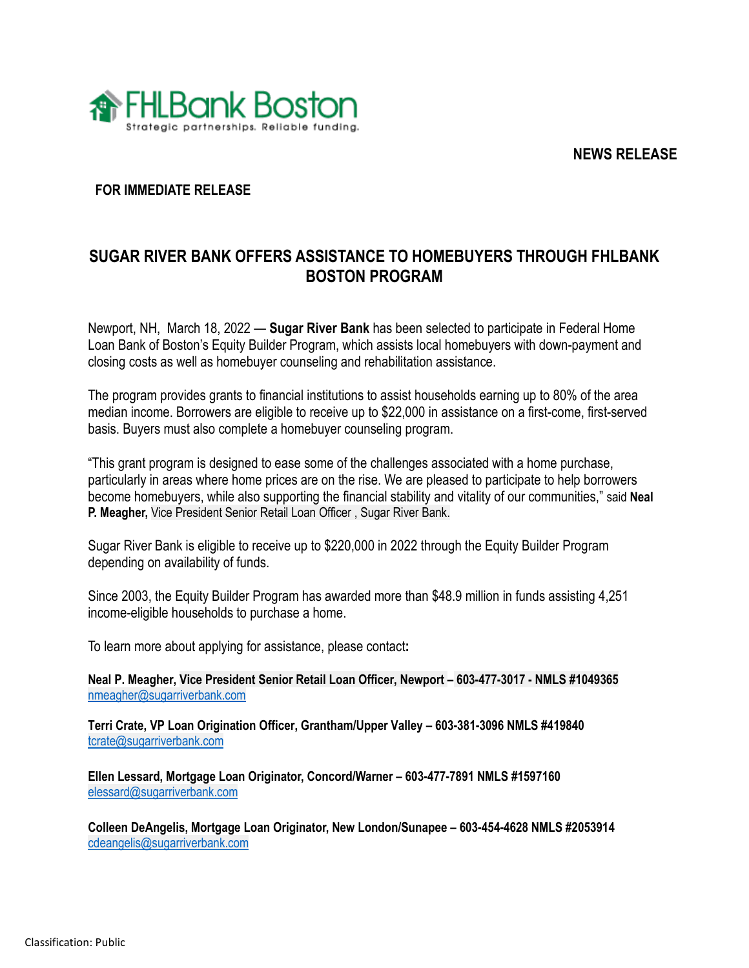**NEWS RELEASE**



## **FOR IMMEDIATE RELEASE**

## **SUGAR RIVER BANK OFFERS ASSISTANCE TO HOMEBUYERS THROUGH FHLBANK BOSTON PROGRAM**

Newport, NH, March 18, 2022 — **Sugar River Bank** has been selected to participate in Federal Home Loan Bank of Boston's Equity Builder Program, which assists local homebuyers with down-payment and closing costs as well as homebuyer counseling and rehabilitation assistance.

The program provides grants to financial institutions to assist households earning up to 80% of the area median income. Borrowers are eligible to receive up to \$22,000 in assistance on a first-come, first-served basis. Buyers must also complete a homebuyer counseling program.

"This grant program is designed to ease some of the challenges associated with a home purchase, particularly in areas where home prices are on the rise. We are pleased to participate to help borrowers become homebuyers, while also supporting the financial stability and vitality of our communities," said **Neal P. Meagher,** Vice President Senior Retail Loan Officer , Sugar River Bank.

Sugar River Bank is eligible to receive up to \$220,000 in 2022 through the Equity Builder Program depending on availability of funds.

Since 2003, the Equity Builder Program has awarded more than \$48.9 million in funds assisting 4,251 income-eligible households to purchase a home.

To learn more about applying for assistance, please contact**:**

**Neal P. Meagher, Vice President Senior Retail Loan Officer, Newport – 603-477-3017 - NMLS #1049365**  [nmeagher@sugarriverbank.com](mailto:nmeagher@sugarriverbank.com)

**Terri Crate, VP Loan Origination Officer, Grantham/Upper Valley – 603-381-3096 NMLS #419840** [tcrate@sugarriverbank.com](mailto:tcrate@sugarriverbank.com)

**Ellen Lessard, Mortgage Loan Originator, Concord/Warner – 603-477-7891 NMLS #1597160** [elessard@sugarriverbank.com](mailto:elessard@sugarriverbank.com)

**Colleen DeAngelis, Mortgage Loan Originator, New London/Sunapee – 603-454-4628 NMLS #2053914** [cdeangelis@sugarriverbank.com](mailto:cdeangelis@sugarriverbank.com)